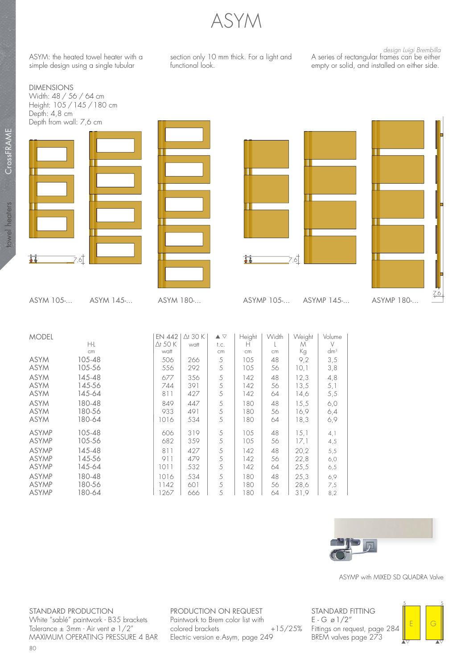ASYM

functional look.

ASYM: the heated towel heater with a simple design using a single tubular

DIMENSIONS

Width: 48 / 56 / 64 cm

section only 10 mm thick. For a light and

A series of rectangular frames can be either empty or solid, and installed on either side.

design Luigi Brembilla



|              | CM.    | waii |     | cm. | cm. | cm. | N.G  | am- |  |
|--------------|--------|------|-----|-----|-----|-----|------|-----|--|
| ASYM         | 105-48 | 506  | 266 | 5   | 105 | 48  | 9,2  | 3,5 |  |
| ASYM         | 105-56 | 556  | 292 | 5   | 105 | 56  | 10,1 | 3,8 |  |
| ASYM         | 145-48 | 677  | 356 | 5   | 142 | 48  | 12,3 | 4,8 |  |
| ASYM         | 145-56 | 744  | 391 | 5   | 142 | 56  | 13,5 | 5,1 |  |
| ASYM         | 145-64 | 811  | 427 | 5   | 142 | 64  | 14,6 | 5,5 |  |
| ASYM         | 180-48 | 849  | 447 | 5   | 180 | 48  | 15.5 | 6,0 |  |
| ASYM         | 180-56 | 933  | 491 | 5   | 180 | 56  | 16,9 | 6,4 |  |
| ASYM         | 180-64 | 1016 | 534 | 5   | 180 | 64  | 18,3 | 6,9 |  |
| ASYMP        | 105-48 | 606  | 319 | 5   | 105 | 48  | 15.1 | 4,1 |  |
| ASYMP        | 105-56 | 682  | 359 | .5  | 105 | 56  | 17,1 | 4,5 |  |
| <b>ASYMP</b> | 145-48 | 811  | 427 | 5   | 142 | 48  | 20,2 | 5,5 |  |
| ASYMP        | 145-56 | 911  | 479 | 5   | 142 | 56  | 22,8 | 6,0 |  |
| ASYMP        | 145-64 | 1011 | 532 | 5   | 142 | 64  | 25,5 | 6,5 |  |
| <b>ASYMP</b> | 180-48 | 1016 | 534 | 5   | 180 | 48  | 25,3 | 6,9 |  |
| ASYMP        | 180-56 | 1142 | 601 | 5   | 180 | 56  | 28,6 | 7,5 |  |
| ASYMP        | 180-64 | 267  | 666 | 5   | 80  | 64  | 31,9 | 8,2 |  |



ASYMP with MIXED SD QUADRA Valve

STANDARD PRODUCTION White "sablé" paintwork - B35 brackets Tolerance  $\pm$  3mm - Air vent ø 1/2" MAXIMUM OPERATING PRESSURE 4 BAR

PRODUCTION ON REQUEST Paintwork to Brem color list with colored brackets +15/25% Electric version e.Asym, page 249

STANDARD FITTING  $E - G \varnothing 1/2''$ Fittings on request, page 284 BREM valves page 273